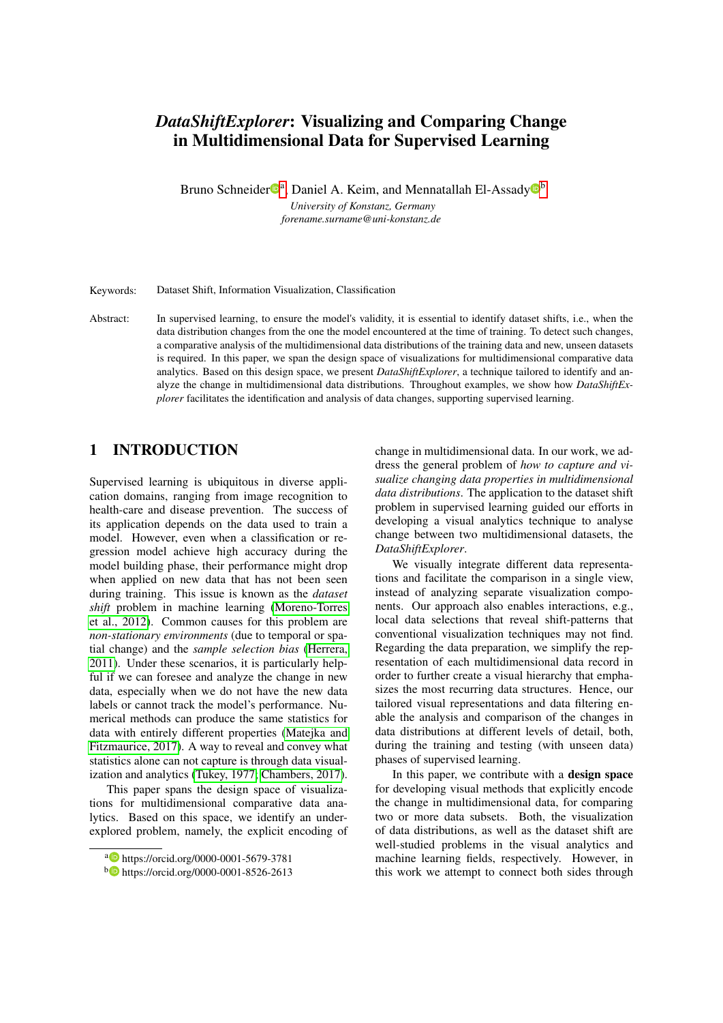# *DataShiftExplorer*: Visualizing and Comparing Change in Multidimensional Data for Supervised Learning

Bruno Schneider<sup>®</sup>, Daniel A. Keim, and Mennatallah El-Assady<sup>®</sup> *University of Konstanz, Germany*

*forename.surname@uni-konstanz.de*

Keywords: Dataset Shift, Information Visualization, Classification

Abstract: In supervised learning, to ensure the model's validity, it is essential to identify dataset shifts, i.e., when the data distribution changes from the one the model encountered at the time of training. To detect such changes, a comparative analysis of the multidimensional data distributions of the training data and new, unseen datasets is required. In this paper, we span the design space of visualizations for multidimensional comparative data analytics. Based on this design space, we present *DataShiftExplorer*, a technique tailored to identify and analyze the change in multidimensional data distributions. Throughout examples, we show how *DataShiftExplorer* facilitates the identification and analysis of data changes, supporting supervised learning.

## 1 INTRODUCTION

Supervised learning is ubiquitous in diverse application domains, ranging from image recognition to health-care and disease prevention. The success of its application depends on the data used to train a model. However, even when a classification or regression model achieve high accuracy during the model building phase, their performance might drop when applied on new data that has not been seen during training. This issue is known as the *dataset shift* problem in machine learning [\(Moreno-Torres](#page-7-0) [et al., 2012\)](#page-7-0). Common causes for this problem are *non-stationary environments* (due to temporal or spatial change) and the *sample selection bias* [\(Herrera,](#page-7-1) [2011\)](#page-7-1). Under these scenarios, it is particularly helpful if we can foresee and analyze the change in new data, especially when we do not have the new data labels or cannot track the model's performance. Numerical methods can produce the same statistics for data with entirely different properties [\(Matejka and](#page-7-2) [Fitzmaurice, 2017\)](#page-7-2). A way to reveal and convey what statistics alone can not capture is through data visualization and analytics [\(Tukey, 1977;](#page-7-3) [Chambers, 2017\)](#page-7-4).

This paper spans the design space of visualizations for multidimensional comparative data analytics. Based on this space, we identify an underexplored problem, namely, the explicit encoding of change in multidimensional data. In our work, we address the general problem of *how to capture and visualize changing data properties in multidimensional data distributions*. The application to the dataset shift problem in supervised learning guided our efforts in developing a visual analytics technique to analyse change between two multidimensional datasets, the *DataShiftExplorer*.

We visually integrate different data representations and facilitate the comparison in a single view, instead of analyzing separate visualization components. Our approach also enables interactions, e.g., local data selections that reveal shift-patterns that conventional visualization techniques may not find. Regarding the data preparation, we simplify the representation of each multidimensional data record in order to further create a visual hierarchy that emphasizes the most recurring data structures. Hence, our tailored visual representations and data filtering enable the analysis and comparison of the changes in data distributions at different levels of detail, both, during the training and testing (with unseen data) phases of supervised learning.

In this paper, we contribute with a design space for developing visual methods that explicitly encode the change in multidimensional data, for comparing two or more data subsets. Both, the visualization of data distributions, as well as the dataset shift are well-studied problems in the visual analytics and machine learning fields, respectively. However, in this work we attempt to connect both sides through

<sup>a</sup> https://orcid.org/0000-0001-5679-3781

<sup>b</sup> https://orcid.org/0000-0001-8526-2613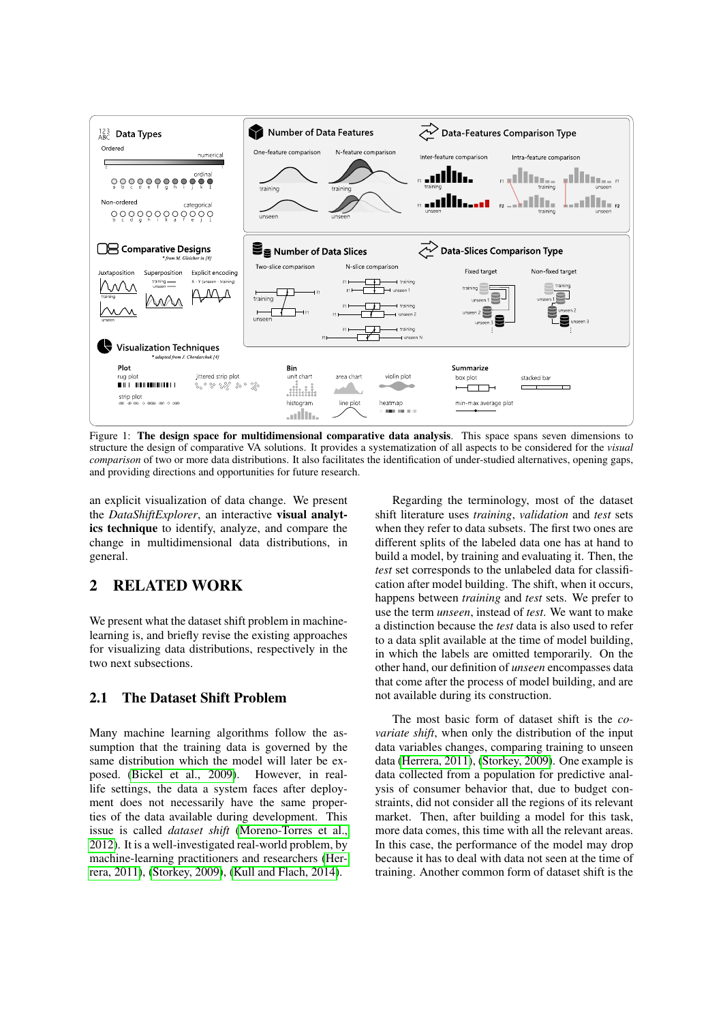<span id="page-1-0"></span>

Figure 1: The design space for multidimensional comparative data analysis. This space spans seven dimensions to structure the design of comparative VA solutions. It provides a systematization of all aspects to be considered for the *visual comparison* of two or more data distributions. It also facilitates the identification of under-studied alternatives, opening gaps, and providing directions and opportunities for future research.

an explicit visualization of data change. We present the *DataShiftExplorer*, an interactive visual analytics technique to identify, analyze, and compare the change in multidimensional data distributions, in general.

## 2 RELATED WORK

We present what the dataset shift problem in machinelearning is, and briefly revise the existing approaches for visualizing data distributions, respectively in the two next subsections.

### 2.1 The Dataset Shift Problem

Many machine learning algorithms follow the assumption that the training data is governed by the same distribution which the model will later be exposed. [\(Bickel et al., 2009\)](#page-7-5). However, in reallife settings, the data a system faces after deployment does not necessarily have the same properties of the data available during development. This issue is called *dataset shift* [\(Moreno-Torres et al.,](#page-7-0) [2012\)](#page-7-0). It is a well-investigated real-world problem, by machine-learning practitioners and researchers [\(Her](#page-7-1)[rera, 2011\)](#page-7-1), [\(Storkey, 2009\)](#page-7-6), [\(Kull and Flach, 2014\)](#page-7-7).

Regarding the terminology, most of the dataset shift literature uses *training*, *validation* and *test* sets when they refer to data subsets. The first two ones are different splits of the labeled data one has at hand to build a model, by training and evaluating it. Then, the *test* set corresponds to the unlabeled data for classification after model building. The shift, when it occurs, happens between *training* and *test* sets. We prefer to use the term *unseen*, instead of *test*. We want to make a distinction because the *test* data is also used to refer to a data split available at the time of model building, in which the labels are omitted temporarily. On the other hand, our definition of *unseen* encompasses data that come after the process of model building, and are not available during its construction.

The most basic form of dataset shift is the *covariate shift*, when only the distribution of the input data variables changes, comparing training to unseen data [\(Herrera, 2011\)](#page-7-1), [\(Storkey, 2009\)](#page-7-6). One example is data collected from a population for predictive analysis of consumer behavior that, due to budget constraints, did not consider all the regions of its relevant market. Then, after building a model for this task, more data comes, this time with all the relevant areas. In this case, the performance of the model may drop because it has to deal with data not seen at the time of training. Another common form of dataset shift is the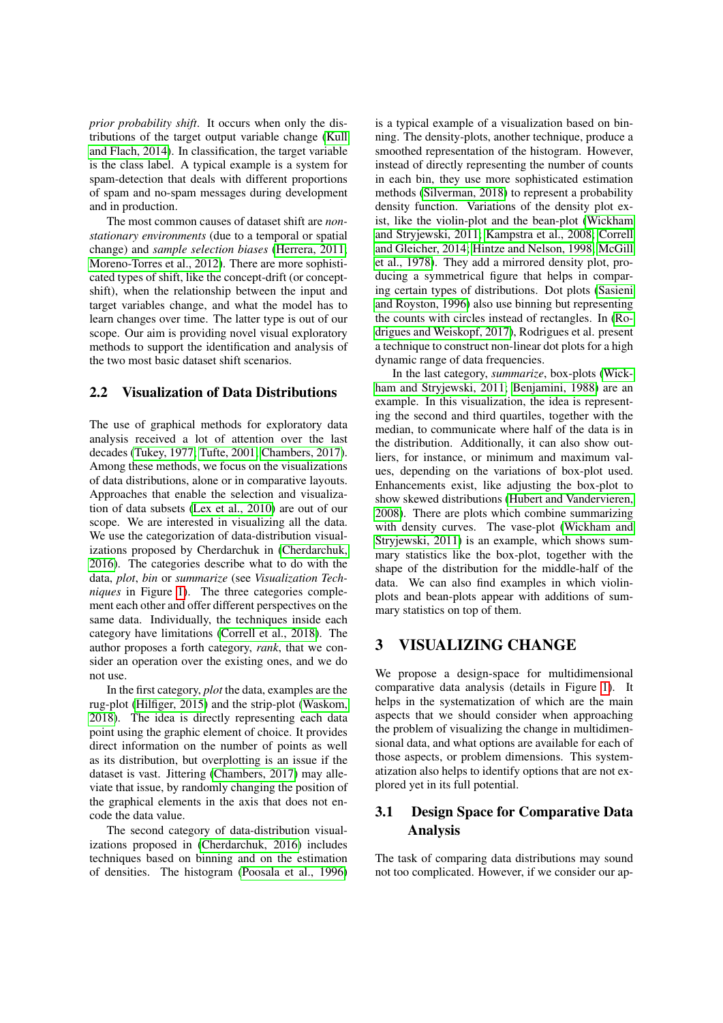*prior probability shift*. It occurs when only the distributions of the target output variable change [\(Kull](#page-7-7) [and Flach, 2014\)](#page-7-7). In classification, the target variable is the class label. A typical example is a system for spam-detection that deals with different proportions of spam and no-spam messages during development and in production.

The most common causes of dataset shift are *nonstationary environments* (due to a temporal or spatial change) and *sample selection biases* [\(Herrera, 2011;](#page-7-1) [Moreno-Torres et al., 2012\)](#page-7-0). There are more sophisticated types of shift, like the concept-drift (or conceptshift), when the relationship between the input and target variables change, and what the model has to learn changes over time. The latter type is out of our scope. Our aim is providing novel visual exploratory methods to support the identification and analysis of the two most basic dataset shift scenarios.

#### <span id="page-2-0"></span>2.2 Visualization of Data Distributions

The use of graphical methods for exploratory data analysis received a lot of attention over the last decades [\(Tukey, 1977;](#page-7-3) [Tufte, 2001;](#page-7-8) [Chambers, 2017\)](#page-7-4). Among these methods, we focus on the visualizations of data distributions, alone or in comparative layouts. Approaches that enable the selection and visualization of data subsets [\(Lex et al., 2010\)](#page-7-9) are out of our scope. We are interested in visualizing all the data. We use the categorization of data-distribution visualizations proposed by Cherdarchuk in [\(Cherdarchuk,](#page-7-10) [2016\)](#page-7-10). The categories describe what to do with the data, *plot*, *bin* or *summarize* (see *Visualization Techniques* in Figure [1\)](#page-1-0). The three categories complement each other and offer different perspectives on the same data. Individually, the techniques inside each category have limitations [\(Correll et al., 2018\)](#page-7-11). The author proposes a forth category, *rank*, that we consider an operation over the existing ones, and we do not use.

In the first category, *plot* the data, examples are the rug-plot [\(Hilfiger, 2015\)](#page-7-12) and the strip-plot [\(Waskom,](#page-7-13) [2018\)](#page-7-13). The idea is directly representing each data point using the graphic element of choice. It provides direct information on the number of points as well as its distribution, but overplotting is an issue if the dataset is vast. Jittering [\(Chambers, 2017\)](#page-7-4) may alleviate that issue, by randomly changing the position of the graphical elements in the axis that does not encode the data value.

The second category of data-distribution visualizations proposed in [\(Cherdarchuk, 2016\)](#page-7-10) includes techniques based on binning and on the estimation of densities. The histogram [\(Poosala et al., 1996\)](#page-7-14) is a typical example of a visualization based on binning. The density-plots, another technique, produce a smoothed representation of the histogram. However, instead of directly representing the number of counts in each bin, they use more sophisticated estimation methods [\(Silverman, 2018\)](#page-7-15) to represent a probability density function. Variations of the density plot exist, like the violin-plot and the bean-plot [\(Wickham](#page-7-16) [and Stryjewski, 2011;](#page-7-16) [Kampstra et al., 2008;](#page-7-17) [Correll](#page-7-18) [and Gleicher, 2014;](#page-7-18) [Hintze and Nelson, 1998;](#page-7-19) [McGill](#page-7-20) [et al., 1978\)](#page-7-20). They add a mirrored density plot, producing a symmetrical figure that helps in comparing certain types of distributions. Dot plots [\(Sasieni](#page-7-21) [and Royston, 1996\)](#page-7-21) also use binning but representing the counts with circles instead of rectangles. In [\(Ro](#page-7-22)[drigues and Weiskopf, 2017\)](#page-7-22), Rodrigues et al. present a technique to construct non-linear dot plots for a high dynamic range of data frequencies.

In the last category, *summarize*, box-plots [\(Wick](#page-7-16)[ham and Stryjewski, 2011;](#page-7-16) [Benjamini, 1988\)](#page-7-23) are an example. In this visualization, the idea is representing the second and third quartiles, together with the median, to communicate where half of the data is in the distribution. Additionally, it can also show outliers, for instance, or minimum and maximum values, depending on the variations of box-plot used. Enhancements exist, like adjusting the box-plot to show skewed distributions [\(Hubert and Vandervieren,](#page-7-24) [2008\)](#page-7-24). There are plots which combine summarizing with density curves. The vase-plot [\(Wickham and](#page-7-16) [Stryjewski, 2011\)](#page-7-16) is an example, which shows summary statistics like the box-plot, together with the shape of the distribution for the middle-half of the data. We can also find examples in which violinplots and bean-plots appear with additions of summary statistics on top of them.

## <span id="page-2-1"></span>3 VISUALIZING CHANGE

We propose a design-space for multidimensional comparative data analysis (details in Figure [1\)](#page-1-0). It helps in the systematization of which are the main aspects that we should consider when approaching the problem of visualizing the change in multidimensional data, and what options are available for each of those aspects, or problem dimensions. This systematization also helps to identify options that are not explored yet in its full potential.

## 3.1 Design Space for Comparative Data Analysis

The task of comparing data distributions may sound not too complicated. However, if we consider our ap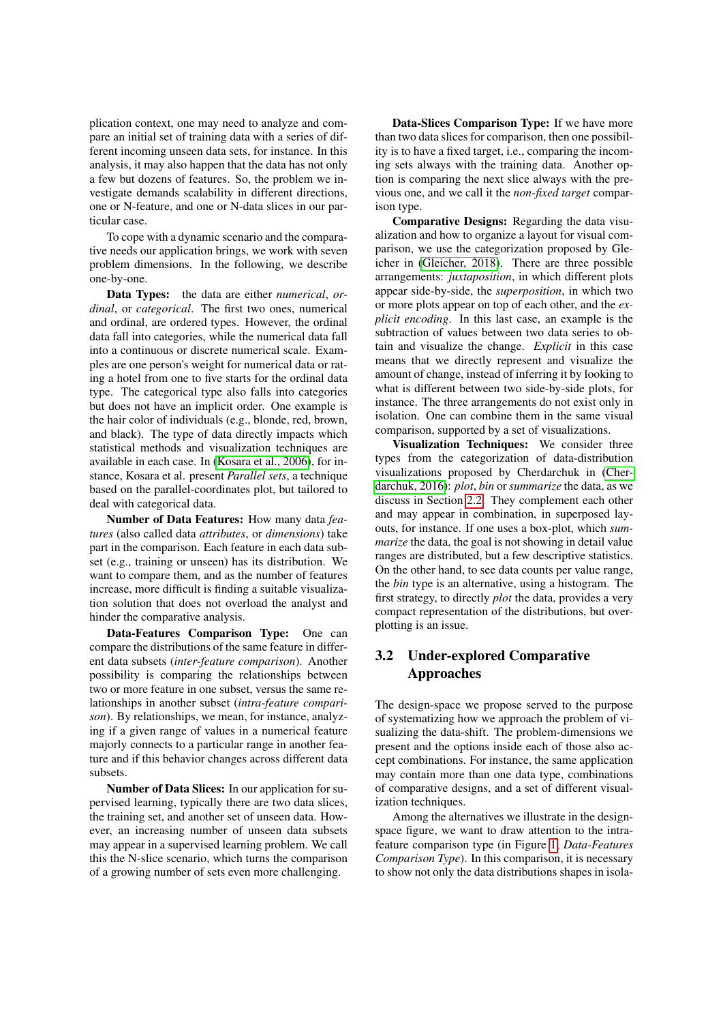plication context, one may need to analyze and compare an initial set of training data with a series of different incoming unseen data sets, for instance. In this analysis, it may also happen that the data has not only a few but dozens of features. So, the problem we investigate demands scalability in different directions, one or N-feature, and one or N-data slices in our particular case.

To cope with a dynamic scenario and the comparative needs our application brings, we work with seven problem dimensions. In the following, we describe one-by-one.

Data Types: the data are either *numerical*, *ordinal*, or *categorical*. The first two ones, numerical and ordinal, are ordered types. However, the ordinal data fall into categories, while the numerical data fall into a continuous or discrete numerical scale. Examples are one person's weight for numerical data or rating a hotel from one to five starts for the ordinal data type. The categorical type also falls into categories but does not have an implicit order. One example is the hair color of individuals (e.g., blonde, red, brown, and black). The type of data directly impacts which statistical methods and visualization techniques are available in each case. In [\(Kosara et al., 2006\)](#page-7-25), for instance, Kosara et al. present *Parallel sets*, a technique based on the parallel-coordinates plot, but tailored to deal with categorical data.

Number of Data Features: How many data *features* (also called data *attributes*, or *dimensions*) take part in the comparison. Each feature in each data subset (e.g., training or unseen) has its distribution. We want to compare them, and as the number of features increase, more difficult is finding a suitable visualization solution that does not overload the analyst and hinder the comparative analysis.

Data-Features Comparison Type: One can compare the distributions of the same feature in different data subsets (*inter-feature comparison*). Another possibility is comparing the relationships between two or more feature in one subset, versus the same relationships in another subset (*intra-feature comparison*). By relationships, we mean, for instance, analyzing if a given range of values in a numerical feature majorly connects to a particular range in another feature and if this behavior changes across different data subsets.

Number of Data Slices: In our application for supervised learning, typically there are two data slices, the training set, and another set of unseen data. However, an increasing number of unseen data subsets may appear in a supervised learning problem. We call this the N-slice scenario, which turns the comparison of a growing number of sets even more challenging.

Data-Slices Comparison Type: If we have more than two data slices for comparison, then one possibility is to have a fixed target, i.e., comparing the incoming sets always with the training data. Another option is comparing the next slice always with the previous one, and we call it the *non-fixed target* comparison type.

Comparative Designs: Regarding the data visualization and how to organize a layout for visual comparison, we use the categorization proposed by Gleicher in [\(Gleicher, 2018\)](#page-7-26). There are three possible arrangements: *juxtaposition*, in which different plots appear side-by-side, the *superposition*, in which two or more plots appear on top of each other, and the *explicit encoding*. In this last case, an example is the subtraction of values between two data series to obtain and visualize the change. *Explicit* in this case means that we directly represent and visualize the amount of change, instead of inferring it by looking to what is different between two side-by-side plots, for instance. The three arrangements do not exist only in isolation. One can combine them in the same visual comparison, supported by a set of visualizations.

Visualization Techniques: We consider three types from the categorization of data-distribution visualizations proposed by Cherdarchuk in [\(Cher](#page-7-10)[darchuk, 2016\)](#page-7-10): *plot*, *bin* or *summarize* the data, as we discuss in Section [2.2.](#page-2-0) They complement each other and may appear in combination, in superposed layouts, for instance. If one uses a box-plot, which *summarize* the data, the goal is not showing in detail value ranges are distributed, but a few descriptive statistics. On the other hand, to see data counts per value range, the *bin* type is an alternative, using a histogram. The first strategy, to directly *plot* the data, provides a very compact representation of the distributions, but overplotting is an issue.

## 3.2 Under-explored Comparative Approaches

The design-space we propose served to the purpose of systematizing how we approach the problem of visualizing the data-shift. The problem-dimensions we present and the options inside each of those also accept combinations. For instance, the same application may contain more than one data type, combinations of comparative designs, and a set of different visualization techniques.

Among the alternatives we illustrate in the designspace figure, we want to draw attention to the intrafeature comparison type (in Figure [1,](#page-1-0) *Data-Features Comparison Type*). In this comparison, it is necessary to show not only the data distributions shapes in isola-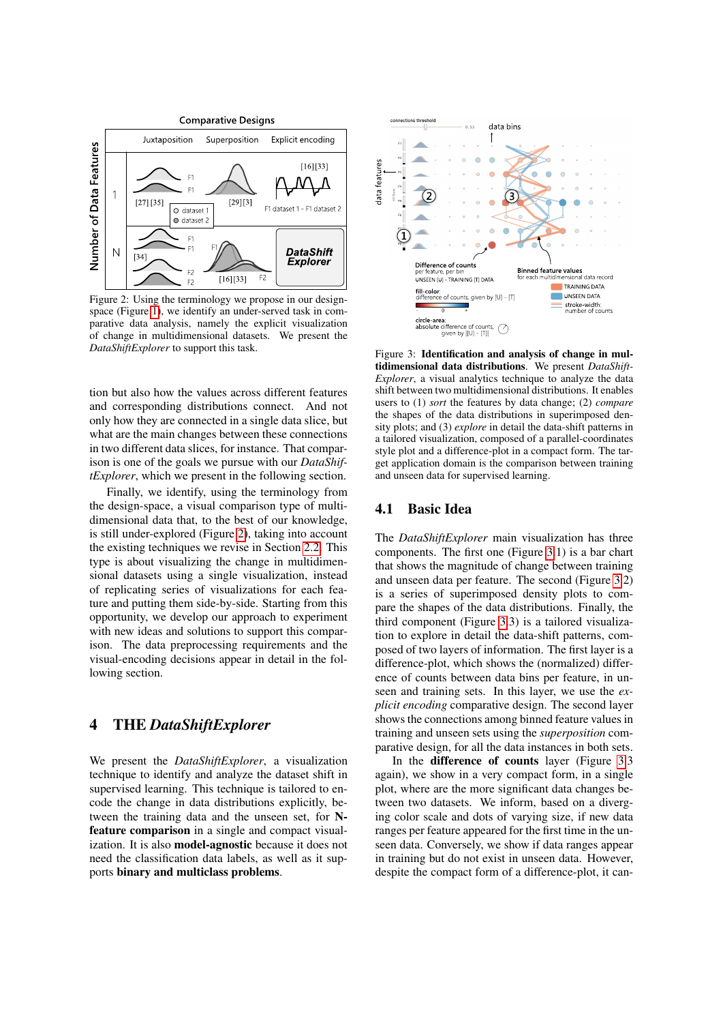<span id="page-4-0"></span>

Figure 2: Using the terminology we propose in our designspace (Figure [1\)](#page-1-0), we identify an under-served task in comparative data analysis, namely the explicit visualization of change in multidimensional datasets. We present the *DataShiftExplorer* to support this task.

tion but also how the values across different features and corresponding distributions connect. And not only how they are connected in a single data slice, but what are the main changes between these connections in two different data slices, for instance. That comparison is one of the goals we pursue with our *DataShiftExplorer*, which we present in the following section.

Finally, we identify, using the terminology from the design-space, a visual comparison type of multidimensional data that, to the best of our knowledge, is still under-explored (Figure [2\)](#page-4-0), taking into account the existing techniques we revise in Section [2.2.](#page-2-0) This type is about visualizing the change in multidimensional datasets using a single visualization, instead of replicating series of visualizations for each feature and putting them side-by-side. Starting from this opportunity, we develop our approach to experiment with new ideas and solutions to support this comparison. The data preprocessing requirements and the visual-encoding decisions appear in detail in the following section.

### 4 THE *DataShiftExplorer*

We present the *DataShiftExplorer*, a visualization technique to identify and analyze the dataset shift in supervised learning. This technique is tailored to encode the change in data distributions explicitly, between the training data and the unseen set, for Nfeature comparison in a single and compact visualization. It is also model-agnostic because it does not need the classification data labels, as well as it supports binary and multiclass problems.

<span id="page-4-1"></span>

Figure 3: Identification and analysis of change in multidimensional data distributions. We present *DataShift-Explorer*, a visual analytics technique to analyze the data shift between two multidimensional distributions. It enables users to (1) *sort* the features by data change; (2) *compare* the shapes of the data distributions in superimposed density plots; and (3) *explore* in detail the data-shift patterns in a tailored visualization, composed of a parallel-coordinates style plot and a difference-plot in a compact form. The target application domain is the comparison between training and unseen data for supervised learning.

#### 4.1 Basic Idea

The *DataShiftExplorer* main visualization has three components. The first one (Figure [3.](#page-4-1)1) is a bar chart that shows the magnitude of change between training and unseen data per feature. The second (Figure [3.](#page-4-1)2) is a series of superimposed density plots to compare the shapes of the data distributions. Finally, the third component (Figure [3.](#page-4-1)3) is a tailored visualization to explore in detail the data-shift patterns, composed of two layers of information. The first layer is a difference-plot, which shows the (normalized) difference of counts between data bins per feature, in unseen and training sets. In this layer, we use the *explicit encoding* comparative design. The second layer shows the connections among binned feature values in training and unseen sets using the *superposition* comparative design, for all the data instances in both sets.

In the difference of counts layer (Figure [3.](#page-4-1)3 again), we show in a very compact form, in a single plot, where are the more significant data changes between two datasets. We inform, based on a diverging color scale and dots of varying size, if new data ranges per feature appeared for the first time in the unseen data. Conversely, we show if data ranges appear in training but do not exist in unseen data. However, despite the compact form of a difference-plot, it can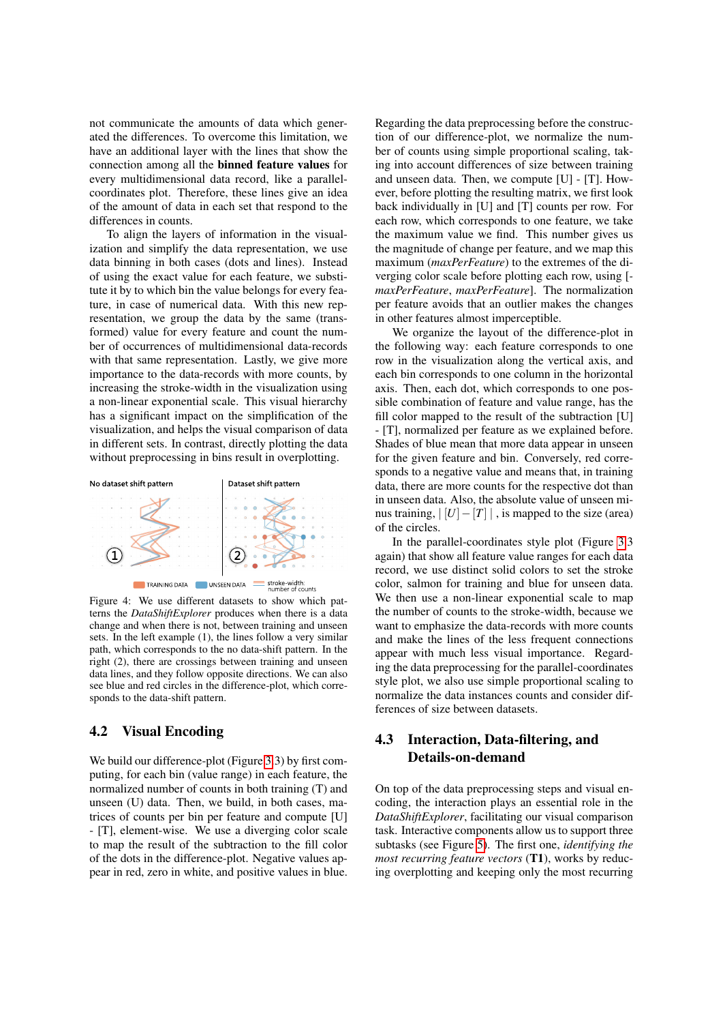not communicate the amounts of data which generated the differences. To overcome this limitation, we have an additional layer with the lines that show the connection among all the binned feature values for every multidimensional data record, like a parallelcoordinates plot. Therefore, these lines give an idea of the amount of data in each set that respond to the differences in counts.

To align the layers of information in the visualization and simplify the data representation, we use data binning in both cases (dots and lines). Instead of using the exact value for each feature, we substitute it by to which bin the value belongs for every feature, in case of numerical data. With this new representation, we group the data by the same (transformed) value for every feature and count the number of occurrences of multidimensional data-records with that same representation. Lastly, we give more importance to the data-records with more counts, by increasing the stroke-width in the visualization using a non-linear exponential scale. This visual hierarchy has a significant impact on the simplification of the visualization, and helps the visual comparison of data in different sets. In contrast, directly plotting the data without preprocessing in bins result in overplotting.

<span id="page-5-0"></span>

Figure 4: We use different datasets to show which patterns the *DataShiftExplorer* produces when there is a data change and when there is not, between training and unseen sets. In the left example (1), the lines follow a very similar path, which corresponds to the no data-shift pattern. In the right (2), there are crossings between training and unseen data lines, and they follow opposite directions. We can also see blue and red circles in the difference-plot, which corresponds to the data-shift pattern.

#### 4.2 Visual Encoding

We build our difference-plot (Figure [3.](#page-4-1)3) by first computing, for each bin (value range) in each feature, the normalized number of counts in both training (T) and unseen (U) data. Then, we build, in both cases, matrices of counts per bin per feature and compute [U] - [T], element-wise. We use a diverging color scale to map the result of the subtraction to the fill color of the dots in the difference-plot. Negative values appear in red, zero in white, and positive values in blue.

Regarding the data preprocessing before the construction of our difference-plot, we normalize the number of counts using simple proportional scaling, taking into account differences of size between training and unseen data. Then, we compute [U] - [T]. However, before plotting the resulting matrix, we first look back individually in [U] and [T] counts per row. For each row, which corresponds to one feature, we take the maximum value we find. This number gives us the magnitude of change per feature, and we map this maximum (*maxPerFeature*) to the extremes of the diverging color scale before plotting each row, using [ *maxPerFeature*, *maxPerFeature*]. The normalization per feature avoids that an outlier makes the changes in other features almost imperceptible.

We organize the layout of the difference-plot in the following way: each feature corresponds to one row in the visualization along the vertical axis, and each bin corresponds to one column in the horizontal axis. Then, each dot, which corresponds to one possible combination of feature and value range, has the fill color mapped to the result of the subtraction [U] - [T], normalized per feature as we explained before. Shades of blue mean that more data appear in unseen for the given feature and bin. Conversely, red corresponds to a negative value and means that, in training data, there are more counts for the respective dot than in unseen data. Also, the absolute value of unseen minus training,  $\vert U \vert - \vert T \vert \vert$ , is mapped to the size (area) of the circles.

In the parallel-coordinates style plot (Figure [3.](#page-4-1)3 again) that show all feature value ranges for each data record, we use distinct solid colors to set the stroke color, salmon for training and blue for unseen data. We then use a non-linear exponential scale to map the number of counts to the stroke-width, because we want to emphasize the data-records with more counts and make the lines of the less frequent connections appear with much less visual importance. Regarding the data preprocessing for the parallel-coordinates style plot, we also use simple proportional scaling to normalize the data instances counts and consider differences of size between datasets.

## 4.3 Interaction, Data-filtering, and Details-on-demand

On top of the data preprocessing steps and visual encoding, the interaction plays an essential role in the *DataShiftExplorer*, facilitating our visual comparison task. Interactive components allow us to support three subtasks (see Figure [5\)](#page-6-0). The first one, *identifying the most recurring feature vectors* (T1), works by reducing overplotting and keeping only the most recurring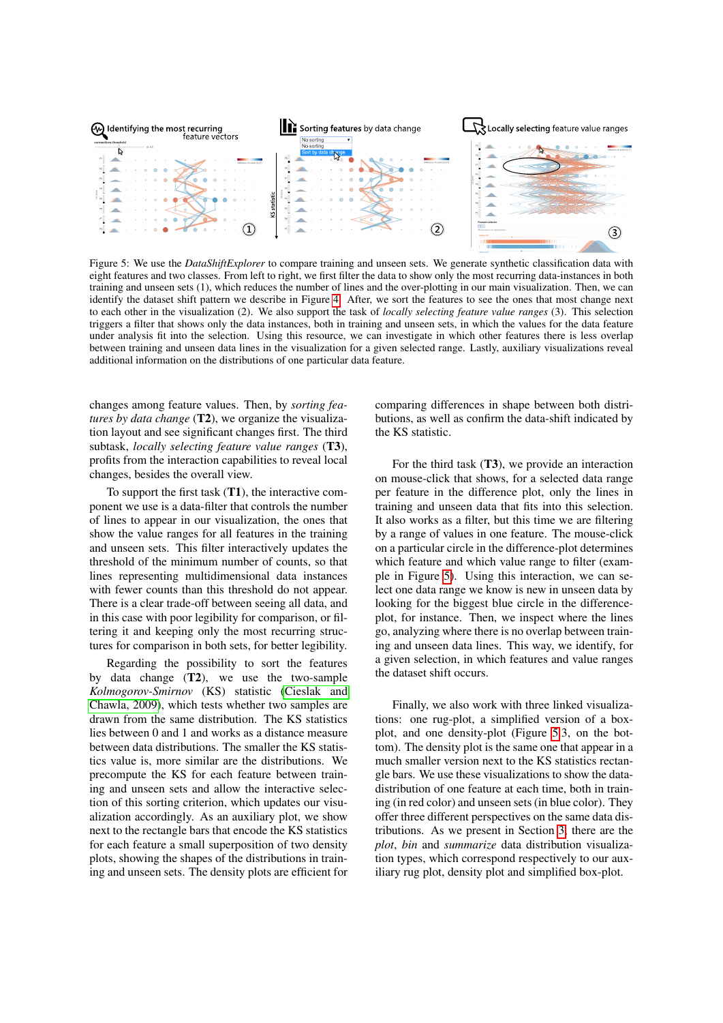<span id="page-6-0"></span>

Figure 5: We use the *DataShiftExplorer* to compare training and unseen sets. We generate synthetic classification data with eight features and two classes. From left to right, we first filter the data to show only the most recurring data-instances in both training and unseen sets (1), which reduces the number of lines and the over-plotting in our main visualization. Then, we can identify the dataset shift pattern we describe in Figure [4.](#page-5-0) After, we sort the features to see the ones that most change next to each other in the visualization (2). We also support the task of *locally selecting feature value ranges* (3). This selection triggers a filter that shows only the data instances, both in training and unseen sets, in which the values for the data feature under analysis fit into the selection. Using this resource, we can investigate in which other features there is less overlap between training and unseen data lines in the visualization for a given selected range. Lastly, auxiliary visualizations reveal additional information on the distributions of one particular data feature.

changes among feature values. Then, by *sorting features by data change* (T2), we organize the visualization layout and see significant changes first. The third subtask, *locally selecting feature value ranges* (T3), profits from the interaction capabilities to reveal local changes, besides the overall view.

To support the first task (T1), the interactive component we use is a data-filter that controls the number of lines to appear in our visualization, the ones that show the value ranges for all features in the training and unseen sets. This filter interactively updates the threshold of the minimum number of counts, so that lines representing multidimensional data instances with fewer counts than this threshold do not appear. There is a clear trade-off between seeing all data, and in this case with poor legibility for comparison, or filtering it and keeping only the most recurring structures for comparison in both sets, for better legibility.

Regarding the possibility to sort the features by data change  $(T2)$ , we use the two-sample *Kolmogorov-Smirnov* (KS) statistic [\(Cieslak and](#page-7-27) [Chawla, 2009\)](#page-7-27), which tests whether two samples are drawn from the same distribution. The KS statistics lies between 0 and 1 and works as a distance measure between data distributions. The smaller the KS statistics value is, more similar are the distributions. We precompute the KS for each feature between training and unseen sets and allow the interactive selection of this sorting criterion, which updates our visualization accordingly. As an auxiliary plot, we show next to the rectangle bars that encode the KS statistics for each feature a small superposition of two density plots, showing the shapes of the distributions in training and unseen sets. The density plots are efficient for comparing differences in shape between both distributions, as well as confirm the data-shift indicated by the KS statistic.

For the third task  $(T3)$ , we provide an interaction on mouse-click that shows, for a selected data range per feature in the difference plot, only the lines in training and unseen data that fits into this selection. It also works as a filter, but this time we are filtering by a range of values in one feature. The mouse-click on a particular circle in the difference-plot determines which feature and which value range to filter (example in Figure [5\)](#page-6-0). Using this interaction, we can select one data range we know is new in unseen data by looking for the biggest blue circle in the differenceplot, for instance. Then, we inspect where the lines go, analyzing where there is no overlap between training and unseen data lines. This way, we identify, for a given selection, in which features and value ranges the dataset shift occurs.

Finally, we also work with three linked visualizations: one rug-plot, a simplified version of a boxplot, and one density-plot (Figure [5.](#page-6-0)3, on the bottom). The density plot is the same one that appear in a much smaller version next to the KS statistics rectangle bars. We use these visualizations to show the datadistribution of one feature at each time, both in training (in red color) and unseen sets (in blue color). They offer three different perspectives on the same data distributions. As we present in Section [3,](#page-2-1) there are the *plot*, *bin* and *summarize* data distribution visualization types, which correspond respectively to our auxiliary rug plot, density plot and simplified box-plot.